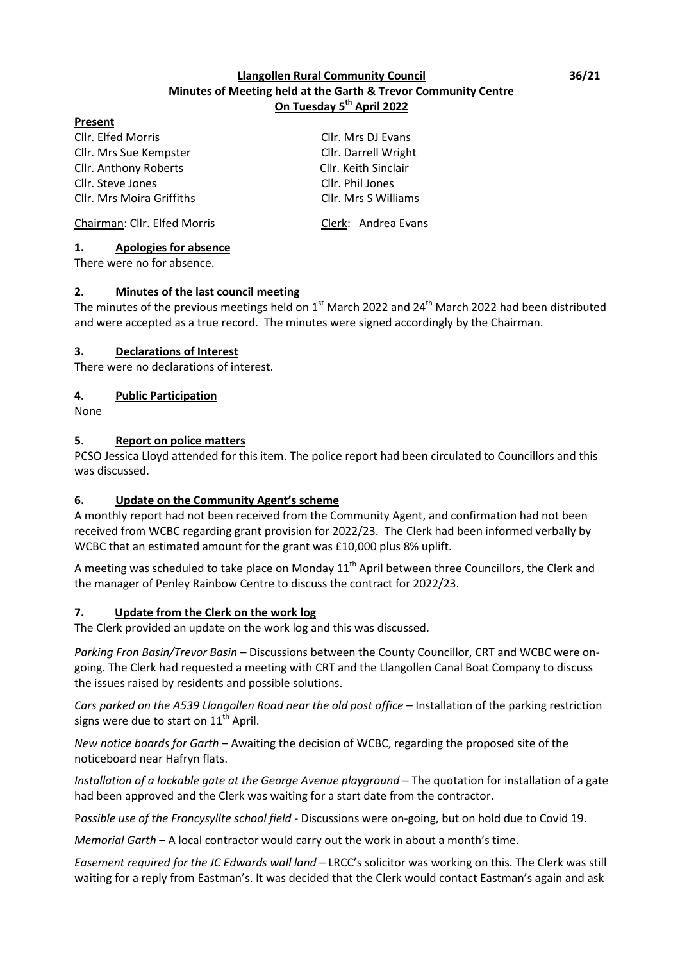### **Llangollen Rural Community Council 36/21 Minutes of Meeting held at the Garth & Trevor Community Centre On Tuesday 5 th April 2022**

#### **Present**

Cllr. Elfed Morris Cllr. Mrs DJ Evans Cllr. Mrs Sue Kempster Cllr. Darrell Wright Cllr. Anthony Roberts Cllr. Keith Sinclair Cllr. Steve Jones Cllr. Phil Jones Cllr. Mrs Moira Griffiths Cllr. Mrs S Williams

Chairman: Cllr. Elfed Morris Clerk: Andrea Evans

### **1. Apologies for absence**

There were no for absence.

### **2. Minutes of the last council meeting**

The minutes of the previous meetings held on  $1<sup>st</sup>$  March 2022 and 24<sup>th</sup> March 2022 had been distributed and were accepted as a true record. The minutes were signed accordingly by the Chairman.

### **3. Declarations of Interest**

There were no declarations of interest.

### **4. Public Participation**

None

### **5. Report on police matters**

PCSO Jessica Lloyd attended for this item. The police report had been circulated to Councillors and this was discussed.

### **6. Update on the Community Agent's scheme**

A monthly report had not been received from the Community Agent, and confirmation had not been received from WCBC regarding grant provision for 2022/23. The Clerk had been informed verbally by WCBC that an estimated amount for the grant was £10,000 plus 8% uplift.

A meeting was scheduled to take place on Monday  $11<sup>th</sup>$  April between three Councillors, the Clerk and the manager of Penley Rainbow Centre to discuss the contract for 2022/23.

### **7. Update from the Clerk on the work log**

The Clerk provided an update on the work log and this was discussed.

*Parking Fron Basin/Trevor Basin* – Discussions between the County Councillor, CRT and WCBC were ongoing. The Clerk had requested a meeting with CRT and the Llangollen Canal Boat Company to discuss the issues raised by residents and possible solutions.

*Cars parked on the A539 Llangollen Road near the old post office* – Installation of the parking restriction signs were due to start on  $11<sup>th</sup>$  April.

*New notice boards for Garth* – Awaiting the decision of WCBC, regarding the proposed site of the noticeboard near Hafryn flats.

*Installation of a lockable gate at the George Avenue playground* – The quotation for installation of a gate had been approved and the Clerk was waiting for a start date from the contractor.

P*ossible use of the Froncysyllte school field* - Discussions were on-going, but on hold due to Covid 19.

*Memorial Garth* – A local contractor would carry out the work in about a month's time.

*Easement required for the JC Edwards wall land* – LRCC's solicitor was working on this. The Clerk was still waiting for a reply from Eastman's. It was decided that the Clerk would contact Eastman's again and ask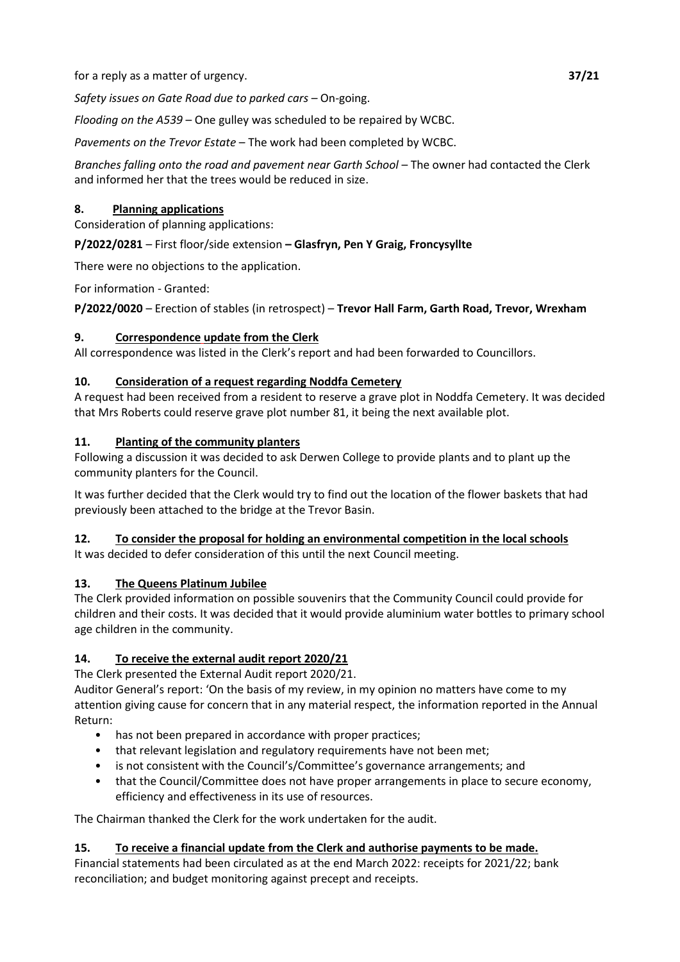for a reply as a matter of urgency. **37/21**

*Safety issues on Gate Road due to parked cars* – On-going.

*Flooding on the A539* – One gulley was scheduled to be repaired by WCBC.

*Pavements on the Trevor Estate* – The work had been completed by WCBC.

*Branches falling onto the road and pavement near Garth School* – The owner had contacted the Clerk and informed her that the trees would be reduced in size.

## **8. Planning applications**

Consideration of planning applications:

**P/2022/0281** – First floor/side extension **– Glasfryn, Pen Y Graig, Froncysyllte**

There were no objections to the application.

For information - Granted:

**P/2022/0020** – Erection of stables (in retrospect) – **Trevor Hall Farm, Garth Road, Trevor, Wrexham**

## **9. Correspondence update from the Clerk**

All correspondence was listed in the Clerk's report and had been forwarded to Councillors.

## **10. Consideration of a request regarding Noddfa Cemetery**

A request had been received from a resident to reserve a grave plot in Noddfa Cemetery. It was decided that Mrs Roberts could reserve grave plot number 81, it being the next available plot.

## **11. Planting of the community planters**

Following a discussion it was decided to ask Derwen College to provide plants and to plant up the community planters for the Council.

It was further decided that the Clerk would try to find out the location of the flower baskets that had previously been attached to the bridge at the Trevor Basin.

# **12. To consider the proposal for holding an environmental competition in the local schools**

It was decided to defer consideration of this until the next Council meeting.

# **13. The Queens Platinum Jubilee**

The Clerk provided information on possible souvenirs that the Community Council could provide for children and their costs. It was decided that it would provide aluminium water bottles to primary school age children in the community.

# **14. To receive the external audit report 2020/21**

The Clerk presented the External Audit report 2020/21.

Auditor General's report: 'On the basis of my review, in my opinion no matters have come to my attention giving cause for concern that in any material respect, the information reported in the Annual Return:

- has not been prepared in accordance with proper practices;
- that relevant legislation and regulatory requirements have not been met;
- is not consistent with the Council's/Committee's governance arrangements; and
- that the Council/Committee does not have proper arrangements in place to secure economy, efficiency and effectiveness in its use of resources.

The Chairman thanked the Clerk for the work undertaken for the audit.

# **15. To receive a financial update from the Clerk and authorise payments to be made.**

Financial statements had been circulated as at the end March 2022: receipts for 2021/22; bank reconciliation; and budget monitoring against precept and receipts.